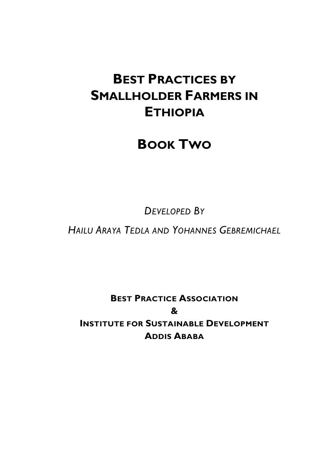## **BEST PRACTICES BY SMALLHOLDER FARMERS IN ETHIOPIA**

## **BOOK TWO**

*DEVELOPED BY*

*HAILU ARAYA TEDLA AND YOHANNES GEBREMICHAEL*

**BEST PRACTICE ASSOCIATION & INSTITUTE FOR SUSTAINABLE DEVELOPMENT ADDIS ABABA**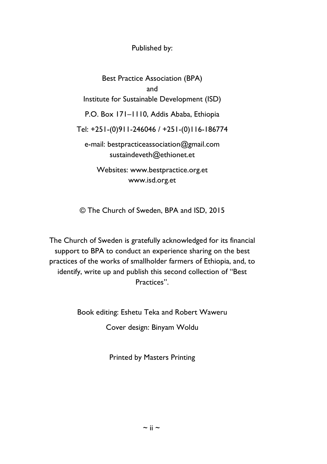Published by:

Best Practice Association (BPA) and Institute for Sustainable Development (ISD) P.O. Box 171–1110, Addis Ababa, Ethiopia Tel: +251-(0)911-246046 / +251-(0)116-186774 e-mail: bestpracticeassociation@gmail.com sustaindeveth@ethionet.et Websites: www.bestpractice.org.et www.isd.org.et

© The Church of Sweden, BPA and ISD, 2015

The Church of Sweden is gratefully acknowledged for its financial support to BPA to conduct an experience sharing on the best practices of the works of smallholder farmers of Ethiopia, and, to identify, write up and publish this second collection of "Best Practices".

Book editing: Eshetu Teka and Robert Waweru

Cover design: Binyam Woldu

Printed by Masters Printing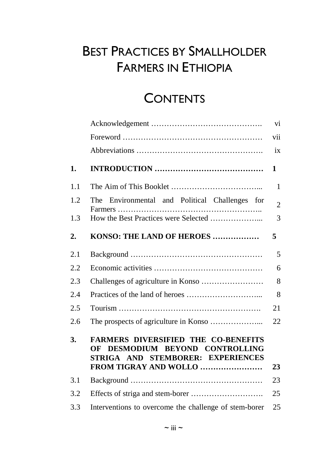# BEST PRACTICES BY SMALLHOLDER FARMERS IN ETHIOPIA

## **CONTENTS**

|     |                                                                                                                                                | vi             |
|-----|------------------------------------------------------------------------------------------------------------------------------------------------|----------------|
|     |                                                                                                                                                | vii            |
|     |                                                                                                                                                | ix             |
| 1.  |                                                                                                                                                | 1              |
| 1.1 |                                                                                                                                                | 1              |
| 1.2 | Environmental and Political Challenges for<br>The                                                                                              | $\overline{2}$ |
| 1.3 |                                                                                                                                                | 3              |
| 2.  | KONSO: THE LAND OF HEROES                                                                                                                      | 5              |
| 2.1 |                                                                                                                                                | 5              |
| 2.2 |                                                                                                                                                | 6              |
| 2.3 |                                                                                                                                                | 8              |
| 2.4 |                                                                                                                                                | 8              |
| 2.5 |                                                                                                                                                | 21             |
| 2.6 |                                                                                                                                                | 22             |
| 3.  | <b>FARMERS DIVERSIFIED THE CO-BENEFITS</b><br>DESMODIUM BEYOND CONTROLLING<br>OF<br>STRIGA AND STEMBORER: EXPERIENCES<br>FROM TIGRAY AND WOLLO | 23             |
| 3.1 |                                                                                                                                                | 23             |
| 3.2 |                                                                                                                                                | 25             |
| 3.3 | Interventions to overcome the challenge of stem-borer                                                                                          | 25             |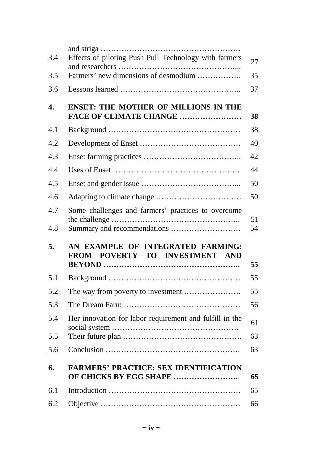| 3.4        | Effects of piloting Push Pull Technology with farmers                  | 27       |
|------------|------------------------------------------------------------------------|----------|
| 3.5        | Farmers' new dimensions of desmodium                                   | 35       |
| 3.6        |                                                                        | 37       |
| 4.         | <b>ENSET: THE MOTHER OF MILLIONS IN THE</b><br>FACE OF CLIMATE CHANGE  | 38       |
| 4.1        |                                                                        | 38       |
| 4.2        |                                                                        | 40       |
| 4.3        |                                                                        | 42       |
| 4.4        |                                                                        | 44       |
| 4.5        |                                                                        | 50       |
| 4.6        |                                                                        | 50       |
| 4.7<br>4.8 | Some challenges and farmers' practices to overcome                     | 51<br>54 |
| 5.         | AN EXAMPLE OF INTEGRATED FARMING:<br>POVERTY TO INVESTMENT AND<br>FROM | 55       |
| 5.1        |                                                                        | 55       |
| 5.2        |                                                                        |          |
|            | The way from poverty to investment                                     | 55       |
| 5.3        |                                                                        | 56       |
| 5.4        | Her innovation for labor requirement and fulfill in the                | 61       |
| 5.5        |                                                                        | 63       |
| 5.6        |                                                                        | 63       |
| 6.         | <b>FARMERS' PRACTICE: SEX IDENTIFICATION</b><br>OF CHICKS BY EGG SHAPE | 65       |
| 6.1        |                                                                        | 65       |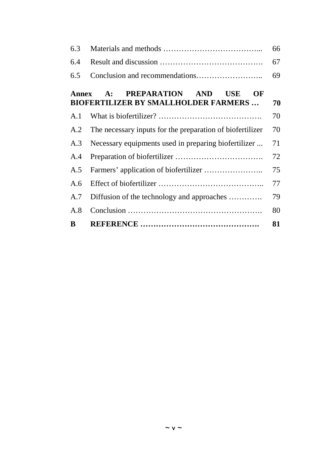| 6.3   |                                                                                             | 66 |
|-------|---------------------------------------------------------------------------------------------|----|
| 6.4   |                                                                                             | 67 |
| 6.5   |                                                                                             | 69 |
| Annex | <b>PREPARATION</b><br>AND<br>USE<br>OF<br>A:<br><b>BIOFERTILIZER BY SMALLHOLDER FARMERS</b> | 70 |
| A.1   |                                                                                             | 70 |
| A.2   | The necessary inputs for the preparation of biofertilizer                                   | 70 |
| A.3   | Necessary equipments used in preparing biofertilizer                                        | 71 |
| A.4   |                                                                                             | 72 |
| A.5   |                                                                                             | 75 |
| A.6   |                                                                                             | 77 |
| A.7   | Diffusion of the technology and approaches                                                  | 79 |
| A.8   |                                                                                             | 80 |
| B     |                                                                                             | 81 |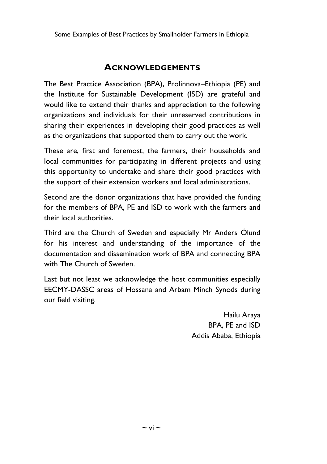#### **ACKNOWLEDGEMENTS**

The Best Practice Association (BPA), Prolinnova–Ethiopia (PE) and the Institute for Sustainable Development (ISD) are grateful and would like to extend their thanks and appreciation to the following organizations and individuals for their unreserved contributions in sharing their experiences in developing their good practices as well as the organizations that supported them to carry out the work.

These are, first and foremost, the farmers, their households and local communities for participating in different projects and using this opportunity to undertake and share their good practices with the support of their extension workers and local administrations.

Second are the donor organizations that have provided the funding for the members of BPA, PE and ISD to work with the farmers and their local authorities.

Third are the Church of Sweden and especially Mr Anders Ölund for his interest and understanding of the importance of the documentation and dissemination work of BPA and connecting BPA with The Church of Sweden.

Last but not least we acknowledge the host communities especially EECMY-DASSC areas of Hossana and Arbam Minch Synods during our field visiting.

> Hailu Araya BPA, PE and ISD Addis Ababa, Ethiopia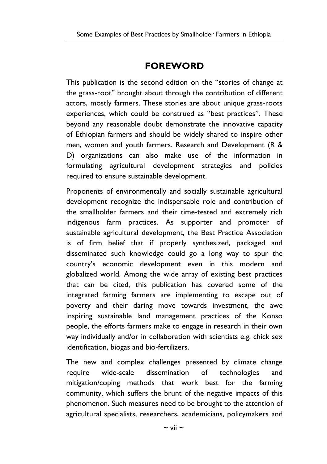### **FOREWORD**

This publication is the second edition on the "stories of change at the grass-root" brought about through the contribution of different actors, mostly farmers. These stories are about unique grass-roots experiences, which could be construed as "best practices". These beyond any reasonable doubt demonstrate the innovative capacity of Ethiopian farmers and should be widely shared to inspire other men, women and youth farmers. Research and Development (R & D) organizations can also make use of the information in formulating agricultural development strategies and policies required to ensure sustainable development.

Proponents of environmentally and socially sustainable agricultural development recognize the indispensable role and contribution of the smallholder farmers and their time-tested and extremely rich indigenous farm practices. As supporter and promoter of sustainable agricultural development, the Best Practice Association is of firm belief that if properly synthesized, packaged and disseminated such knowledge could go a long way to spur the country's economic development even in this modern and globalized world. Among the wide array of existing best practices that can be cited, this publication has covered some of the integrated farming farmers are implementing to escape out of poverty and their daring move towards investment, the awe inspiring sustainable land management practices of the Konso people, the efforts farmers make to engage in research in their own way individually and/or in collaboration with scientists e.g. chick sex identification, biogas and bio-fertilizers.

The new and complex challenges presented by climate change require wide-scale dissemination of technologies and mitigation/coping methods that work best for the farming community, which suffers the brunt of the negative impacts of this phenomenon. Such measures need to be brought to the attention of agricultural specialists, researchers, academicians, policymakers and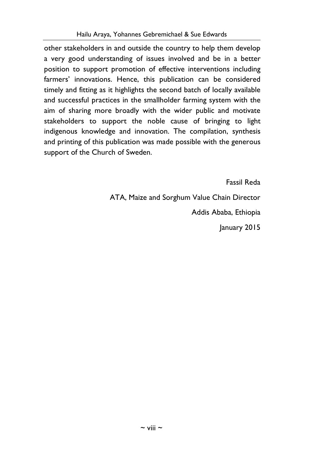other stakeholders in and outside the country to help them develop a very good understanding of issues involved and be in a better position to support promotion of effective interventions including farmers' innovations. Hence, this publication can be considered timely and fitting as it highlights the second batch of locally available and successful practices in the smallholder farming system with the aim of sharing more broadly with the wider public and motivate stakeholders to support the noble cause of bringing to light indigenous knowledge and innovation. The compilation, synthesis and printing of this publication was made possible with the generous support of the Church of Sweden.

Fassil Reda

ATA, Maize and Sorghum Value Chain Director Addis Ababa, Ethiopia

January 2015